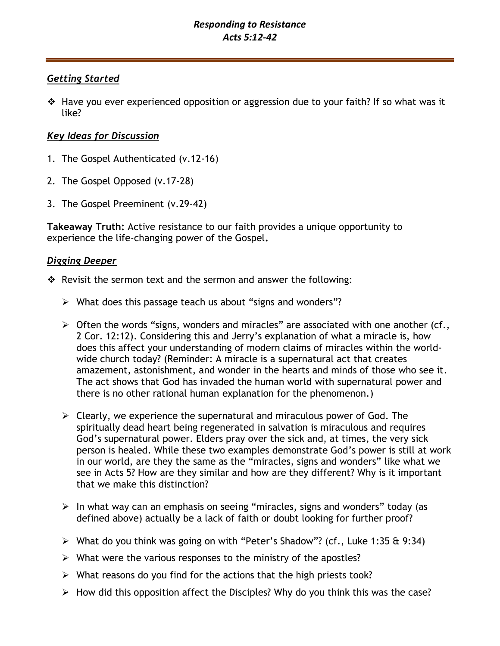## *Getting Started*

❖ Have you ever experienced opposition or aggression due to your faith? If so what was it like?

# *Key Ideas for Discussion*

- 1. The Gospel Authenticated (v.12-16)
- 2. The Gospel Opposed (v.17-28)
- 3. The Gospel Preeminent (v.29-42)

**Takeaway Truth:** Active resistance to our faith provides a unique opportunity to experience the life-changing power of the Gospel**.**

# *Digging Deeper*

- ❖ Revisit the sermon text and the sermon and answer the following:
	- ➢ What does this passage teach us about "signs and wonders"?
	- $\triangleright$  Often the words "signs, wonders and miracles" are associated with one another (cf., 2 Cor. 12:12). Considering this and Jerry's explanation of what a miracle is, how does this affect your understanding of modern claims of miracles within the worldwide church today? (Reminder: A miracle is a supernatural act that creates amazement, astonishment, and wonder in the hearts and minds of those who see it. The act shows that God has invaded the human world with supernatural power and there is no other rational human explanation for the phenomenon.)
	- $\triangleright$  Clearly, we experience the supernatural and miraculous power of God. The spiritually dead heart being regenerated in salvation is miraculous and requires God's supernatural power. Elders pray over the sick and, at times, the very sick person is healed. While these two examples demonstrate God's power is still at work in our world, are they the same as the "miracles, signs and wonders" like what we see in Acts 5? How are they similar and how are they different? Why is it important that we make this distinction?
	- ➢ In what way can an emphasis on seeing "miracles, signs and wonders" today (as defined above) actually be a lack of faith or doubt looking for further proof?
	- ➢ What do you think was going on with "Peter's Shadow"? (cf., Luke 1:35 & 9:34)
	- $\triangleright$  What were the various responses to the ministry of the apostles?
	- $\triangleright$  What reasons do you find for the actions that the high priests took?
	- ➢ How did this opposition affect the Disciples? Why do you think this was the case?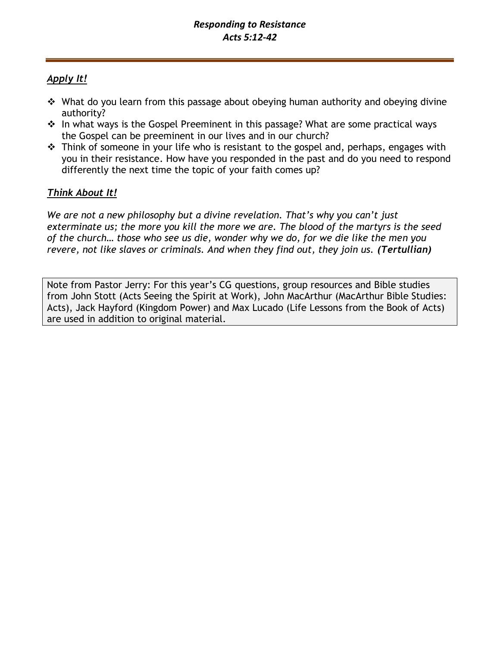# *Apply It!*

- ❖ What do you learn from this passage about obeying human authority and obeying divine authority?
- ❖ In what ways is the Gospel Preeminent in this passage? What are some practical ways the Gospel can be preeminent in our lives and in our church?
- ❖ Think of someone in your life who is resistant to the gospel and, perhaps, engages with you in their resistance. How have you responded in the past and do you need to respond differently the next time the topic of your faith comes up?

# *Think About It!*

*We are not a new philosophy but a divine revelation. That's why you can't just exterminate us; the more you kill the more we are. The blood of the martyrs is the seed of the church… those who see us die, wonder why we do, for we die like the men you revere, not like slaves or criminals. And when they find out, they join us. (Tertullian)*

Note from Pastor Jerry: For this year's CG questions, group resources and Bible studies from John Stott (Acts Seeing the Spirit at Work), John MacArthur (MacArthur Bible Studies: Acts), Jack Hayford (Kingdom Power) and Max Lucado (Life Lessons from the Book of Acts) are used in addition to original material.